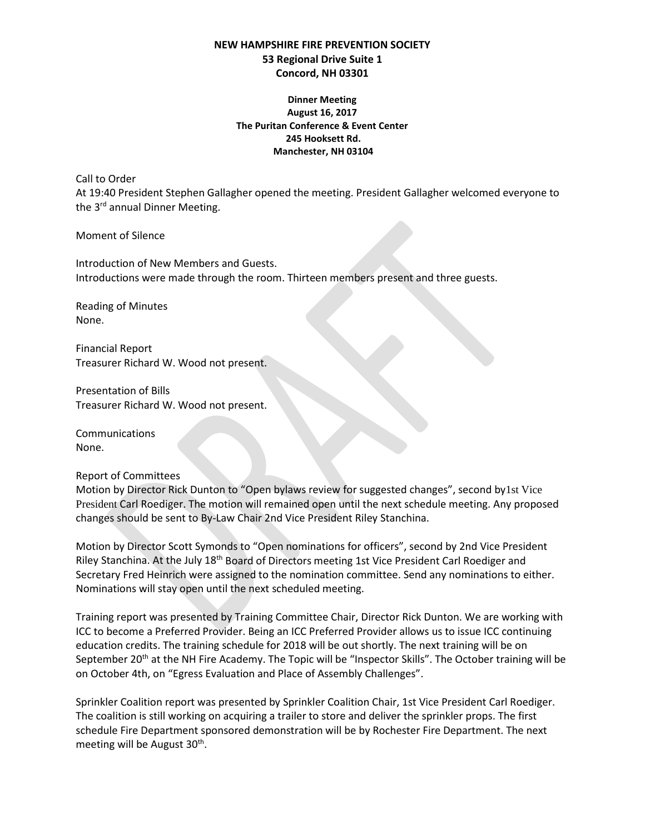## **NEW HAMPSHIRE FIRE PREVENTION SOCIETY 53 Regional Drive Suite 1 Concord, NH 03301**

**Dinner Meeting August 16, 2017 The Puritan Conference & Event Center 245 Hooksett Rd. Manchester, NH 03104**

Call to Order

At 19:40 President Stephen Gallagher opened the meeting. President Gallagher welcomed everyone to the 3<sup>rd</sup> annual Dinner Meeting.

Moment of Silence

Introduction of New Members and Guests. Introductions were made through the room. Thirteen members present and three guests.

Reading of Minutes None.

Financial Report Treasurer Richard W. Wood not present.

Presentation of Bills Treasurer Richard W. Wood not present.

Communications None.

Report of Committees

Motion by Director Rick Dunton to "Open bylaws review for suggested changes", second by1st Vice President Carl Roediger. The motion will remained open until the next schedule meeting. Any proposed changes should be sent to By-Law Chair 2nd Vice President Riley Stanchina.

Motion by Director Scott Symonds to "Open nominations for officers", second by 2nd Vice President Riley Stanchina. At the July 18<sup>th</sup> Board of Directors meeting 1st Vice President Carl Roediger and Secretary Fred Heinrich were assigned to the nomination committee. Send any nominations to either. Nominations will stay open until the next scheduled meeting.

Training report was presented by Training Committee Chair, Director Rick Dunton. We are working with ICC to become a Preferred Provider. Being an ICC Preferred Provider allows us to issue ICC continuing education credits. The training schedule for 2018 will be out shortly. The next training will be on September 20<sup>th</sup> at the NH Fire Academy. The Topic will be "Inspector Skills". The October training will be on October 4th, on "Egress Evaluation and Place of Assembly Challenges".

Sprinkler Coalition report was presented by Sprinkler Coalition Chair, 1st Vice President Carl Roediger. The coalition is still working on acquiring a trailer to store and deliver the sprinkler props. The first schedule Fire Department sponsored demonstration will be by Rochester Fire Department. The next meeting will be August 30<sup>th</sup>.